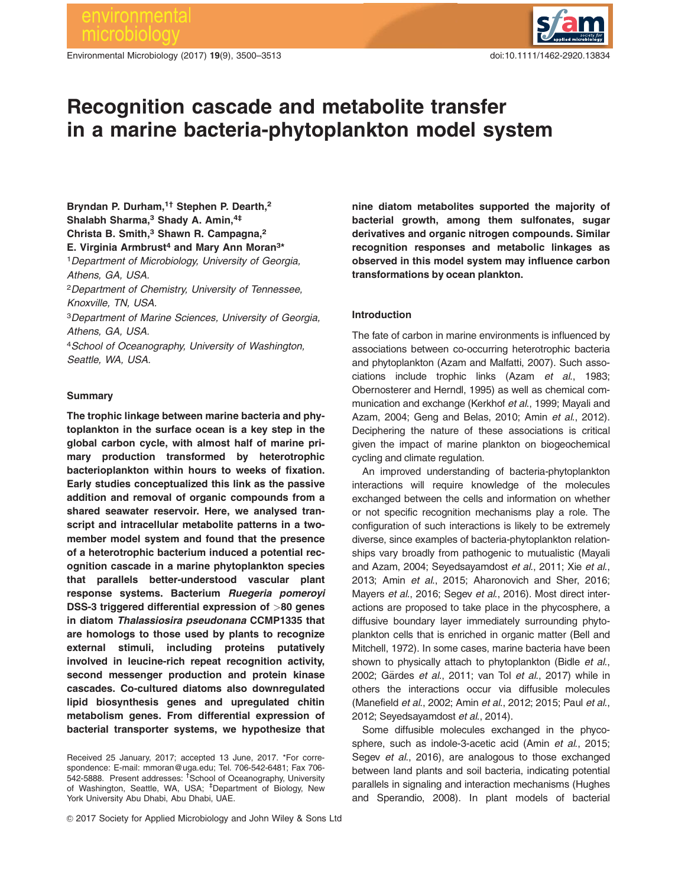# environmental crobio

Environmental Microbiology (2017) 19(9), 3500–3513 doi:10.1111/1462-2920.13834

# Recognition cascade and metabolite transfer in a marine bacteria-phytoplankton model system

Bryndan P. Durham.<sup>1†</sup> Stephen P. Dearth.<sup>2</sup> Shalabh Sharma,<sup>3</sup> Shady A. Amin, 4# Christa B. Smith,<sup>3</sup> Shawn R. Campagna,<sup>2</sup> E. Virginia Armbrust<sup>4</sup> and Mary Ann Moran<sup>3\*</sup>

<sup>1</sup> Department of Microbiology, University of Georgia, Athens, GA, USA.

<sup>2</sup>Department of Chemistry, University of Tennessee, Knoxville, TN, USA.

<sup>3</sup>Department of Marine Sciences, University of Georgia, Athens, GA, USA.

<sup>4</sup>School of Oceanography, University of Washington, Seattle, WA, USA.

# **Summary**

The trophic linkage between marine bacteria and phytoplankton in the surface ocean is a key step in the global carbon cycle, with almost half of marine primary production transformed by heterotrophic bacterioplankton within hours to weeks of fixation. Early studies conceptualized this link as the passive addition and removal of organic compounds from a shared seawater reservoir. Here, we analysed transcript and intracellular metabolite patterns in a twomember model system and found that the presence of a heterotrophic bacterium induced a potential recognition cascade in a marine phytoplankton species that parallels better-understood vascular plant response systems. Bacterium Ruegeria pomeroyi DSS-3 triggered differential expression of >80 genes in diatom Thalassiosira pseudonana CCMP1335 that are homologs to those used by plants to recognize external stimuli, including proteins putatively involved in leucine-rich repeat recognition activity, second messenger production and protein kinase cascades. Co-cultured diatoms also downregulated lipid biosynthesis genes and upregulated chitin metabolism genes. From differential expression of bacterial transporter systems, we hypothesize that

 $@$  2017 Society for Applied Microbiology and John Wiley & Sons Ltd

nine diatom metabolites supported the majority of bacterial growth, among them sulfonates, sugar derivatives and organic nitrogen compounds. Similar recognition responses and metabolic linkages as observed in this model system may influence carbon transformations by ocean plankton.

# Introduction

The fate of carbon in marine environments is influenced by associations between co-occurring heterotrophic bacteria and phytoplankton (Azam and Malfatti, 2007). Such associations include trophic links (Azam et al., 1983; Obernosterer and Herndl, 1995) as well as chemical communication and exchange (Kerkhof et al., 1999; Mayali and Azam, 2004; Geng and Belas, 2010; Amin et al., 2012). Deciphering the nature of these associations is critical given the impact of marine plankton on biogeochemical cycling and climate regulation.

An improved understanding of bacteria-phytoplankton interactions will require knowledge of the molecules exchanged between the cells and information on whether or not specific recognition mechanisms play a role. The configuration of such interactions is likely to be extremely diverse, since examples of bacteria-phytoplankton relationships vary broadly from pathogenic to mutualistic (Mayali and Azam, 2004; Seyedsayamdost et al., 2011; Xie et al., 2013; Amin et al., 2015; Aharonovich and Sher, 2016; Mayers et al., 2016; Segev et al., 2016). Most direct interactions are proposed to take place in the phycosphere, a diffusive boundary layer immediately surrounding phytoplankton cells that is enriched in organic matter (Bell and Mitchell, 1972). In some cases, marine bacteria have been shown to physically attach to phytoplankton (Bidle et al., 2002; Gärdes et al., 2011; van Tol et al., 2017) while in others the interactions occur via diffusible molecules (Manefield et al., 2002; Amin et al., 2012; 2015; Paul et al., 2012; Seyedsayamdost et al., 2014).

Some diffusible molecules exchanged in the phycosphere, such as indole-3-acetic acid (Amin et al., 2015; Segev et al., 2016), are analogous to those exchanged between land plants and soil bacteria, indicating potential parallels in signaling and interaction mechanisms (Hughes and Sperandio, 2008). In plant models of bacterial

Received 25 January, 2017; accepted 13 June, 2017. \*For correspondence: E-mail: mmoran@uga.edu; Tel. 706-542-6481; Fax 706- 542-5888. Present addresses: <sup>†</sup>School of Oceanography, University of Washington, Seattle, WA, USA; <sup>‡</sup>Department of Biology, New York University Abu Dhabi, Abu Dhabi, UAE.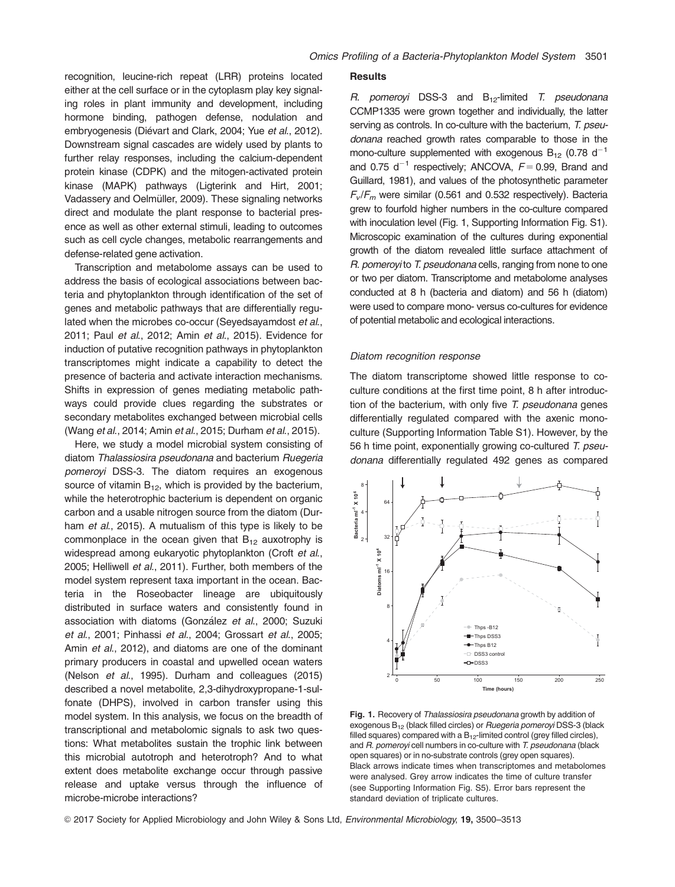recognition, leucine-rich repeat (LRR) proteins located either at the cell surface or in the cytoplasm play key signaling roles in plant immunity and development, including hormone binding, pathogen defense, nodulation and embryogenesis (Diévart and Clark, 2004; Yue et al., 2012). Downstream signal cascades are widely used by plants to further relay responses, including the calcium-dependent protein kinase (CDPK) and the mitogen-activated protein kinase (MAPK) pathways (Ligterink and Hirt, 2001; Vadassery and Oelmüller, 2009). These signaling networks direct and modulate the plant response to bacterial presence as well as other external stimuli, leading to outcomes such as cell cycle changes, metabolic rearrangements and defense-related gene activation.

Transcription and metabolome assays can be used to address the basis of ecological associations between bacteria and phytoplankton through identification of the set of genes and metabolic pathways that are differentially regulated when the microbes co-occur (Seyedsayamdost et al., 2011; Paul et al., 2012; Amin et al., 2015). Evidence for induction of putative recognition pathways in phytoplankton transcriptomes might indicate a capability to detect the presence of bacteria and activate interaction mechanisms. Shifts in expression of genes mediating metabolic pathways could provide clues regarding the substrates or secondary metabolites exchanged between microbial cells (Wang et al., 2014; Amin et al., 2015; Durham et al., 2015).

Here, we study a model microbial system consisting of diatom Thalassiosira pseudonana and bacterium Ruegeria pomeroyi DSS-3. The diatom requires an exogenous source of vitamin  $B_{12}$ , which is provided by the bacterium, while the heterotrophic bacterium is dependent on organic carbon and a usable nitrogen source from the diatom (Durham *et al.*, 2015). A mutualism of this type is likely to be commonplace in the ocean given that  $B_{12}$  auxotrophy is widespread among eukaryotic phytoplankton (Croft et al., 2005; Helliwell et al., 2011). Further, both members of the model system represent taxa important in the ocean. Bacteria in the Roseobacter lineage are ubiquitously distributed in surface waters and consistently found in association with diatoms (González et al., 2000; Suzuki et al., 2001; Pinhassi et al., 2004; Grossart et al., 2005; Amin et al., 2012), and diatoms are one of the dominant primary producers in coastal and upwelled ocean waters (Nelson et al., 1995). Durham and colleagues (2015) described a novel metabolite, 2,3-dihydroxypropane-1-sulfonate (DHPS), involved in carbon transfer using this model system. In this analysis, we focus on the breadth of transcriptional and metabolomic signals to ask two questions: What metabolites sustain the trophic link between this microbial autotroph and heterotroph? And to what extent does metabolite exchange occur through passive release and uptake versus through the influence of microbe-microbe interactions?

#### **Results**

R. pomeroyi DSS-3 and  $B_{12}$ -limited T. pseudonana CCMP1335 were grown together and individually, the latter serving as controls. In co-culture with the bacterium, T. pseudonana reached growth rates comparable to those in the mono-culture supplemented with exogenous  $B_{12}$  (0.78 d<sup>-1</sup> and 0.75  $d^{-1}$  respectively; ANCOVA,  $F = 0.99$ , Brand and Guillard, 1981), and values of the photosynthetic parameter  $F_v/F_m$  were similar (0.561 and 0.532 respectively). Bacteria grew to fourfold higher numbers in the co-culture compared with inoculation level (Fig. 1, Supporting Information Fig. S1). Microscopic examination of the cultures during exponential growth of the diatom revealed little surface attachment of R. pomeroyi to T. pseudonana cells, ranging from none to one or two per diatom. Transcriptome and metabolome analyses conducted at 8 h (bacteria and diatom) and 56 h (diatom) were used to compare mono- versus co-cultures for evidence of potential metabolic and ecological interactions.

#### Diatom recognition response

The diatom transcriptome showed little response to coculture conditions at the first time point, 8 h after introduction of the bacterium, with only five T. pseudonana genes differentially regulated compared with the axenic monoculture (Supporting Information Table S1). However, by the 56 h time point, exponentially growing co-cultured T. pseudonana differentially regulated 492 genes as compared



Fig. 1. Recovery of Thalassiosira pseudonana growth by addition of exogenous B12 (black filled circles) or Ruegeria pomeroyi DSS-3 (black filled squares) compared with a  $B_{12}$ -limited control (grey filled circles), and R. pomerovi cell numbers in co-culture with T. pseudonana (black open squares) or in no-substrate controls (grey open squares). Black arrows indicate times when transcriptomes and metabolomes were analysed. Grey arrow indicates the time of culture transfer (see Supporting Information Fig. S5). Error bars represent the standard deviation of triplicate cultures.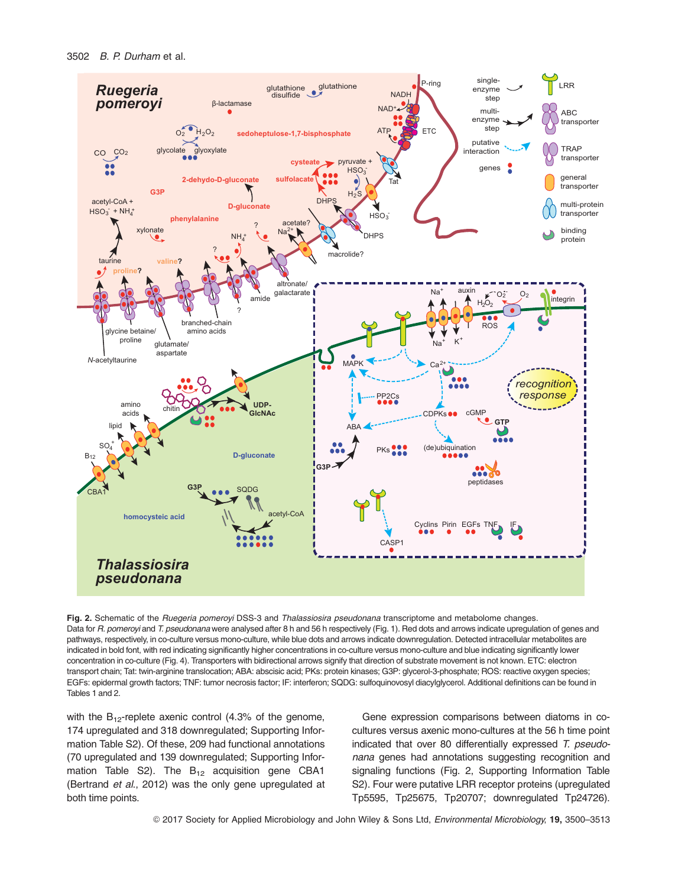

Fig. 2. Schematic of the Ruegeria pomeroyi DSS-3 and Thalassiosira pseudonana transcriptome and metabolome changes. Data for R. pomeroyi and T. pseudonana were analysed after 8 h and 56 h respectively (Fig. 1). Red dots and arrows indicate upregulation of genes and pathways, respectively, in co-culture versus mono-culture, while blue dots and arrows indicate downregulation. Detected intracellular metabolites are indicated in bold font, with red indicating significantly higher concentrations in co-culture versus mono-culture and blue indicating significantly lower concentration in co-culture (Fig. 4). Transporters with bidirectional arrows signify that direction of substrate movement is not known. ETC: electron transport chain; Tat: twin-arginine translocation; ABA: abscisic acid; PKs: protein kinases; G3P: glycerol-3-phosphate; ROS: reactive oxygen species; EGFs: epidermal growth factors; TNF: tumor necrosis factor; IF: interferon; SQDG: sulfoquinovosyl diacylglycerol. Additional definitions can be found in Tables 1 and 2.

with the  $B_{12}$ -replete axenic control (4.3% of the genome, 174 upregulated and 318 downregulated; Supporting Information Table S2). Of these, 209 had functional annotations (70 upregulated and 139 downregulated; Supporting Information Table S2). The  $B_{12}$  acquisition gene CBA1 (Bertrand et al., 2012) was the only gene upregulated at both time points.

Gene expression comparisons between diatoms in cocultures versus axenic mono-cultures at the 56 h time point indicated that over 80 differentially expressed T. pseudonana genes had annotations suggesting recognition and signaling functions (Fig. 2, Supporting Information Table S2). Four were putative LRR receptor proteins (upregulated Tp5595, Tp25675, Tp20707; downregulated Tp24726).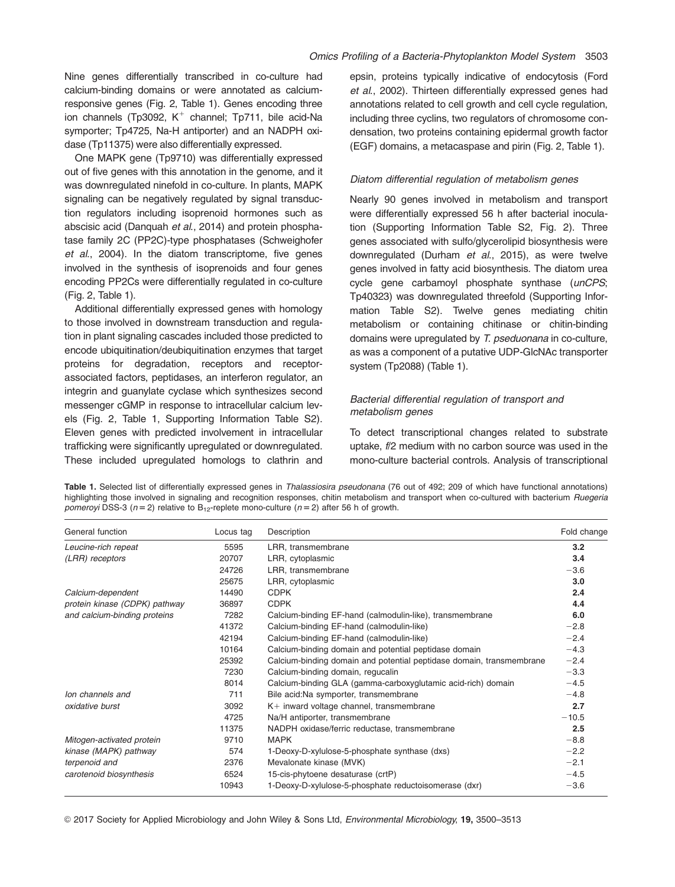Nine genes differentially transcribed in co-culture had calcium-binding domains or were annotated as calciumresponsive genes (Fig. 2, Table 1). Genes encoding three ion channels (Tp3092,  $K^+$  channel; Tp711, bile acid-Na symporter; Tp4725, Na-H antiporter) and an NADPH oxidase (Tp11375) were also differentially expressed.

One MAPK gene (Tp9710) was differentially expressed out of five genes with this annotation in the genome, and it was downregulated ninefold in co-culture. In plants, MAPK signaling can be negatively regulated by signal transduction regulators including isoprenoid hormones such as abscisic acid (Danquah et al., 2014) and protein phosphatase family 2C (PP2C)-type phosphatases (Schweighofer et al., 2004). In the diatom transcriptome, five genes involved in the synthesis of isoprenoids and four genes encoding PP2Cs were differentially regulated in co-culture (Fig. 2, Table 1).

Additional differentially expressed genes with homology to those involved in downstream transduction and regulation in plant signaling cascades included those predicted to encode ubiquitination/deubiquitination enzymes that target proteins for degradation, receptors and receptorassociated factors, peptidases, an interferon regulator, an integrin and guanylate cyclase which synthesizes second messenger cGMP in response to intracellular calcium levels (Fig. 2, Table 1, Supporting Information Table S2). Eleven genes with predicted involvement in intracellular trafficking were significantly upregulated or downregulated. These included upregulated homologs to clathrin and epsin, proteins typically indicative of endocytosis (Ford et al., 2002). Thirteen differentially expressed genes had annotations related to cell growth and cell cycle regulation, including three cyclins, two regulators of chromosome condensation, two proteins containing epidermal growth factor (EGF) domains, a metacaspase and pirin (Fig. 2, Table 1).

# Diatom differential regulation of metabolism genes

Nearly 90 genes involved in metabolism and transport were differentially expressed 56 h after bacterial inoculation (Supporting Information Table S2, Fig. 2). Three genes associated with sulfo/glycerolipid biosynthesis were downregulated (Durham et al., 2015), as were twelve genes involved in fatty acid biosynthesis. The diatom urea cycle gene carbamoyl phosphate synthase (unCPS; Tp40323) was downregulated threefold (Supporting Information Table S2). Twelve genes mediating chitin metabolism or containing chitinase or chitin-binding domains were upregulated by T. pseduonana in co-culture, as was a component of a putative UDP-GlcNAc transporter system (Tp2088) (Table 1).

# Bacterial differential regulation of transport and metabolism genes

To detect transcriptional changes related to substrate uptake, f/2 medium with no carbon source was used in the mono-culture bacterial controls. Analysis of transcriptional

| General function              | Locus tag | Description                                                          | Fold change |
|-------------------------------|-----------|----------------------------------------------------------------------|-------------|
| Leucine-rich repeat           | 5595      | LRR, transmembrane                                                   | 3.2         |
| (LRR) receptors               | 20707     | LRR, cytoplasmic                                                     | 3.4         |
|                               | 24726     | LRR, transmembrane                                                   | $-3.6$      |
|                               | 25675     | LRR, cytoplasmic                                                     | 3.0         |
| Calcium-dependent             | 14490     | <b>CDPK</b>                                                          | 2.4         |
| protein kinase (CDPK) pathway | 36897     | <b>CDPK</b>                                                          | 4.4         |
| and calcium-binding proteins  | 7282      | Calcium-binding EF-hand (calmodulin-like), transmembrane             | 6.0         |
|                               | 41372     | Calcium-binding EF-hand (calmodulin-like)                            | $-2.8$      |
|                               | 42194     | Calcium-binding EF-hand (calmodulin-like)                            | $-2.4$      |
|                               | 10164     | Calcium-binding domain and potential peptidase domain                | $-4.3$      |
|                               | 25392     | Calcium-binding domain and potential peptidase domain, transmembrane | $-2.4$      |
|                               | 7230      | Calcium-binding domain, regucalin                                    | $-3.3$      |
|                               | 8014      | Calcium-binding GLA (gamma-carboxyglutamic acid-rich) domain         | $-4.5$      |
| lon channels and              | 711       | Bile acid:Na symporter, transmembrane                                | $-4.8$      |
| oxidative burst               | 3092      | $K+$ inward voltage channel, transmembrane                           | 2.7         |
|                               | 4725      | Na/H antiporter, transmembrane                                       | $-10.5$     |
|                               | 11375     | NADPH oxidase/ferric reductase, transmembrane                        | 2.5         |
| Mitogen-activated protein     | 9710      | <b>MAPK</b>                                                          | $-8.8$      |
| kinase (MAPK) pathway         | 574       | 1-Deoxy-D-xylulose-5-phosphate synthase (dxs)                        | $-2.2$      |
| terpenoid and                 | 2376      | Mevalonate kinase (MVK)                                              | $-2.1$      |
| carotenoid biosynthesis       | 6524      | 15-cis-phytoene desaturase (crtP)                                    | $-4.5$      |
|                               | 10943     | 1-Deoxy-D-xylulose-5-phosphate reductoisomerase (dxr)                | $-3.6$      |

Table 1. Selected list of differentially expressed genes in Thalassiosira pseudonana (76 out of 492; 209 of which have functional annotations) highlighting those involved in signaling and recognition responses, chitin metabolism and transport when co-cultured with bacterium Ruegeria pomeroyi DSS-3 ( $n = 2$ ) relative to B<sub>12</sub>-replete mono-culture ( $n = 2$ ) after 56 h of growth.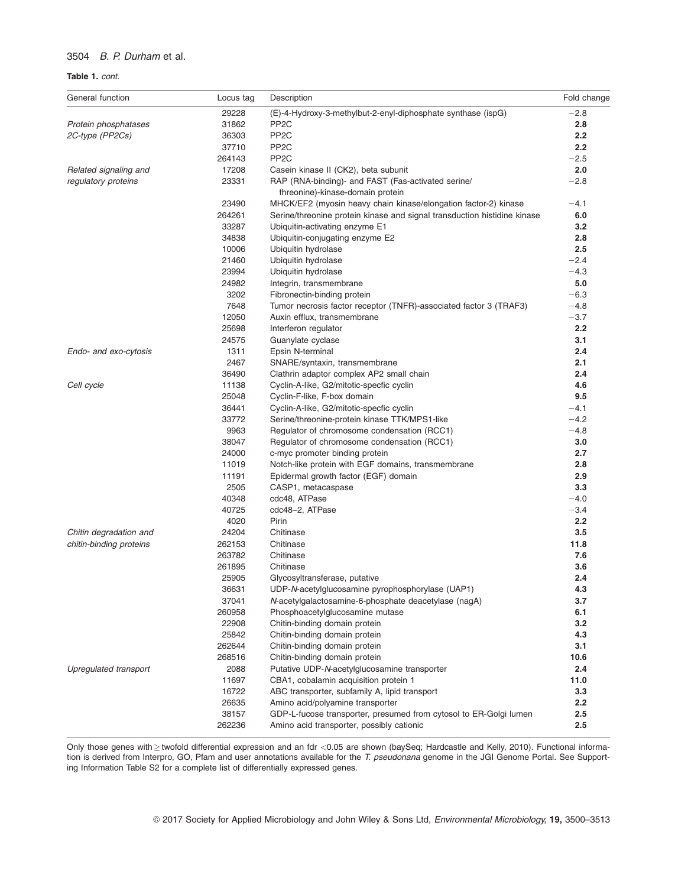#### Table 1. cont.

| General function        | Locus tag | Description                                                              | Fold change |
|-------------------------|-----------|--------------------------------------------------------------------------|-------------|
|                         | 29228     | (E)-4-Hydroxy-3-methylbut-2-enyl-diphosphate synthase (ispG)             | $-2.8$      |
| Protein phosphatases    | 31862     | PP <sub>2</sub> C                                                        | 2.8         |
| 2C-type (PP2Cs)         | 36303     | PP <sub>2</sub> C                                                        | 2.2         |
|                         | 37710     | PP <sub>2</sub> C                                                        | 2.2         |
|                         | 264143    | PP <sub>2</sub> C                                                        | $-2.5$      |
| Related signaling and   | 17208     | Casein kinase II (CK2), beta subunit                                     | 2.0         |
| regulatory proteins     | 23331     | RAP (RNA-binding)- and FAST (Fas-activated serine/                       | $-2.8$      |
|                         |           | threonine)-kinase-domain protein                                         |             |
|                         | 23490     | MHCK/EF2 (myosin heavy chain kinase/elongation factor-2) kinase          | $-4.1$      |
|                         | 264261    | Serine/threonine protein kinase and signal transduction histidine kinase | 6.0         |
|                         | 33287     | Ubiquitin-activating enzyme E1                                           | 3.2         |
|                         | 34838     | Ubiquitin-conjugating enzyme E2                                          | 2.8         |
|                         | 10006     | Ubiquitin hydrolase                                                      | 2.5         |
|                         | 21460     | Ubiquitin hydrolase                                                      | $-2.4$      |
|                         | 23994     | Ubiquitin hydrolase                                                      | $-4.3$      |
|                         | 24982     | Integrin, transmembrane                                                  | 5.0         |
|                         | 3202      | Fibronectin-binding protein                                              | $-6.3$      |
|                         | 7648      | Tumor necrosis factor receptor (TNFR)-associated factor 3 (TRAF3)        | $-4.8$      |
|                         | 12050     | Auxin efflux, transmembrane                                              | $-3.7$      |
|                         | 25698     | Interferon regulator                                                     | 2.2         |
|                         | 24575     | Guanylate cyclase                                                        | 3.1         |
| Endo- and exo-cytosis   | 1311      | Epsin N-terminal                                                         | 2.4         |
|                         | 2467      | SNARE/syntaxin, transmembrane                                            | 2.1         |
|                         | 36490     | Clathrin adaptor complex AP2 small chain                                 | 2.4         |
| Cell cycle              | 11138     | Cyclin-A-like, G2/mitotic-specfic cyclin                                 | 4.6         |
|                         | 25048     | Cyclin-F-like, F-box domain                                              | 9.5         |
|                         | 36441     | Cyclin-A-like, G2/mitotic-specfic cyclin                                 | $-4.1$      |
|                         | 33772     | Serine/threonine-protein kinase TTK/MPS1-like                            | $-4.2$      |
|                         | 9963      | Regulator of chromosome condensation (RCC1)                              | $-4.8$      |
|                         | 38047     | Regulator of chromosome condensation (RCC1)                              | 3.0         |
|                         | 24000     | c-myc promoter binding protein                                           | 2.7         |
|                         | 11019     |                                                                          | 2.8         |
|                         |           | Notch-like protein with EGF domains, transmembrane                       |             |
|                         | 11191     | Epidermal growth factor (EGF) domain                                     | 2.9         |
|                         | 2505      | CASP1, metacaspase                                                       | 3.3         |
|                         | 40348     | cdc48, ATPase                                                            | $-4.0$      |
|                         | 40725     | cdc48-2, ATPase                                                          | $-3.4$      |
|                         | 4020      | Pirin                                                                    | 2.2         |
| Chitin degradation and  | 24204     | Chitinase                                                                | 3.5         |
| chitin-binding proteins | 262153    | Chitinase                                                                | 11.8        |
|                         | 263782    | Chitinase                                                                | 7.6         |
|                         | 261895    | Chitinase                                                                | 3.6         |
|                         | 25905     | Glycosyltransferase, putative                                            | 2.4         |
|                         | 36631     | UDP-N-acetylglucosamine pyrophosphorylase (UAP1)                         | 4.3         |
|                         | 37041     | N-acetylgalactosamine-6-phosphate deacetylase (nagA)                     | 3.7         |
|                         | 260958    | Phosphoacetylglucosamine mutase                                          | 6.1         |
|                         | 22908     | Chitin-binding domain protein                                            | 3.2         |
|                         | 25842     | Chitin-binding domain protein                                            | 4.3         |
|                         | 262644    | Chitin-binding domain protein                                            | 3.1         |
|                         | 268516    | Chitin-binding domain protein                                            | 10.6        |
| Upregulated transport   | 2088      | Putative UDP-N-acetylglucosamine transporter                             | 2.4         |
|                         | 11697     | CBA1, cobalamin acquisition protein 1                                    | 11.0        |
|                         | 16722     | ABC transporter, subfamily A, lipid transport                            | 3.3         |
|                         | 26635     | Amino acid/polyamine transporter                                         | $2.2\,$     |
|                         | 38157     | GDP-L-fucose transporter, presumed from cytosol to ER-Golgi lumen        | 2.5         |
|                         | 262236    | Amino acid transporter, possibly cationic                                | 2.5         |

Only those genes with ≥ twofold differential expression and an fdr <0.05 are shown (baySeq; Hardcastle and Kelly, 2010). Functional information is derived from Interpro, GO, Pfam and user annotations available for the T. pseudonana genome in the JGI Genome Portal. See Supporting Information Table S2 for a complete list of differentially expressed genes.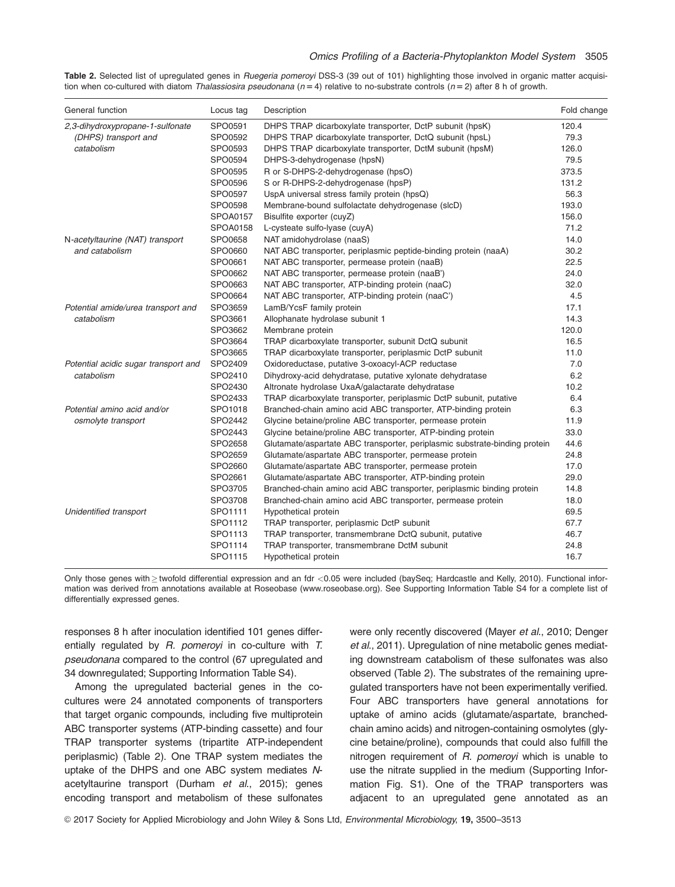Table 2. Selected list of upregulated genes in Ruegeria pomeroyi DSS-3 (39 out of 101) highlighting those involved in organic matter acquisition when co-cultured with diatom Thalassiosira pseudonana ( $n = 4$ ) relative to no-substrate controls ( $n = 2$ ) after 8 h of growth.

| General function                                                       | Locus tag       | Description                                                                | Fold change |
|------------------------------------------------------------------------|-----------------|----------------------------------------------------------------------------|-------------|
| 2,3-dihydroxypropane-1-sulfonate<br>(DHPS) transport and<br>catabolism | SPO0591         | DHPS TRAP dicarboxylate transporter, DctP subunit (hpsK)                   | 120.4       |
|                                                                        | SPO0592         | DHPS TRAP dicarboxylate transporter, DctQ subunit (hpsL)                   | 79.3        |
|                                                                        | SPO0593         | DHPS TRAP dicarboxylate transporter, DctM subunit (hpsM)                   | 126.0       |
|                                                                        | SPO0594         | DHPS-3-dehydrogenase (hpsN)                                                | 79.5        |
|                                                                        | SPO0595         | R or S-DHPS-2-dehydrogenase (hpsO)                                         | 373.5       |
|                                                                        | SPO0596         | S or R-DHPS-2-dehydrogenase (hpsP)                                         | 131.2       |
|                                                                        | SPO0597         | UspA universal stress family protein (hpsQ)                                | 56.3        |
|                                                                        | SPO0598         | Membrane-bound sulfolactate dehydrogenase (slcD)                           | 193.0       |
|                                                                        | <b>SPOA0157</b> | Bisulfite exporter (cuyZ)                                                  | 156.0       |
|                                                                        | <b>SPOA0158</b> | L-cysteate sulfo-lyase (cuyA)                                              | 71.2        |
| N-acetyltaurine (NAT) transport                                        | SPO0658         | NAT amidohydrolase (naaS)                                                  | 14.0        |
| and catabolism                                                         | SPO0660         | NAT ABC transporter, periplasmic peptide-binding protein (naaA)            | 30.2        |
|                                                                        | SPO0661         | NAT ABC transporter, permease protein (naaB)                               | 22.5        |
|                                                                        | SPO0662         | NAT ABC transporter, permease protein (naaB')                              | 24.0        |
|                                                                        | SPO0663         | NAT ABC transporter, ATP-binding protein (naaC)                            | 32.0        |
|                                                                        | SPO0664         | NAT ABC transporter, ATP-binding protein (naaC')                           | 4.5         |
| Potential amide/urea transport and                                     | SPO3659         | LamB/YcsF family protein                                                   | 17.1        |
| catabolism                                                             | SPO3661         | Allophanate hydrolase subunit 1                                            | 14.3        |
|                                                                        | SPO3662         | Membrane protein                                                           | 120.0       |
|                                                                        | SPO3664         | TRAP dicarboxylate transporter, subunit DctQ subunit                       | 16.5        |
|                                                                        | SPO3665         | TRAP dicarboxylate transporter, periplasmic DctP subunit                   | 11.0        |
| Potential acidic sugar transport and                                   | SPO2409         | Oxidoreductase, putative 3-oxoacyl-ACP reductase                           | 7.0         |
| catabolism                                                             | SPO2410         | Dihydroxy-acid dehydratase, putative xylonate dehydratase                  | 6.2         |
|                                                                        | SPO2430         | Altronate hydrolase UxaA/galactarate dehydratase                           | 10.2        |
|                                                                        | SPO2433         | TRAP dicarboxylate transporter, periplasmic DctP subunit, putative         | 6.4         |
| Potential amino acid and/or                                            | SPO1018         | Branched-chain amino acid ABC transporter, ATP-binding protein             | 6.3         |
| osmolyte transport                                                     | SPO2442         | Glycine betaine/proline ABC transporter, permease protein                  | 11.9        |
|                                                                        | SPO2443         | Glycine betaine/proline ABC transporter, ATP-binding protein               | 33.0        |
|                                                                        | SPO2658         | Glutamate/aspartate ABC transporter, periplasmic substrate-binding protein | 44.6        |
|                                                                        | SPO2659         | Glutamate/aspartate ABC transporter, permease protein                      | 24.8        |
|                                                                        | SPO2660         | Glutamate/aspartate ABC transporter, permease protein                      | 17.0        |
|                                                                        | SPO2661         | Glutamate/aspartate ABC transporter, ATP-binding protein                   | 29.0        |
|                                                                        | SPO3705         | Branched-chain amino acid ABC transporter, periplasmic binding protein     | 14.8        |
|                                                                        | SPO3708         | Branched-chain amino acid ABC transporter, permease protein                | 18.0        |
| Unidentified transport                                                 | SPO1111         | Hypothetical protein                                                       | 69.5        |
|                                                                        | SPO1112         | TRAP transporter, periplasmic DctP subunit                                 | 67.7        |
|                                                                        | SPO1113         | TRAP transporter, transmembrane DctQ subunit, putative                     | 46.7        |
|                                                                        | SPO1114         | TRAP transporter, transmembrane DctM subunit                               | 24.8        |
|                                                                        | SPO1115         | Hypothetical protein                                                       | 16.7        |

Only those genes with > twofold differential expression and an fdr <0.05 were included (baySeq; Hardcastle and Kelly, 2010). Functional information was derived from annotations available at Roseobase [\(www.roseobase.org\)](http://www.roseobase.org). See Supporting Information Table S4 for a complete list of differentially expressed genes.

responses 8 h after inoculation identified 101 genes differentially regulated by R. pomeroyi in co-culture with T. pseudonana compared to the control (67 upregulated and 34 downregulated; Supporting Information Table S4).

Among the upregulated bacterial genes in the cocultures were 24 annotated components of transporters that target organic compounds, including five multiprotein ABC transporter systems (ATP-binding cassette) and four TRAP transporter systems (tripartite ATP-independent periplasmic) (Table 2). One TRAP system mediates the uptake of the DHPS and one ABC system mediates Nacetyltaurine transport (Durham et al., 2015); genes encoding transport and metabolism of these sulfonates

were only recently discovered (Mayer et al., 2010; Denger et al., 2011). Upregulation of nine metabolic genes mediating downstream catabolism of these sulfonates was also observed (Table 2). The substrates of the remaining upregulated transporters have not been experimentally verified. Four ABC transporters have general annotations for uptake of amino acids (glutamate/aspartate, branchedchain amino acids) and nitrogen-containing osmolytes (glycine betaine/proline), compounds that could also fulfill the nitrogen requirement of R. pomeroyi which is unable to use the nitrate supplied in the medium (Supporting Information Fig. S1). One of the TRAP transporters was adjacent to an upregulated gene annotated as an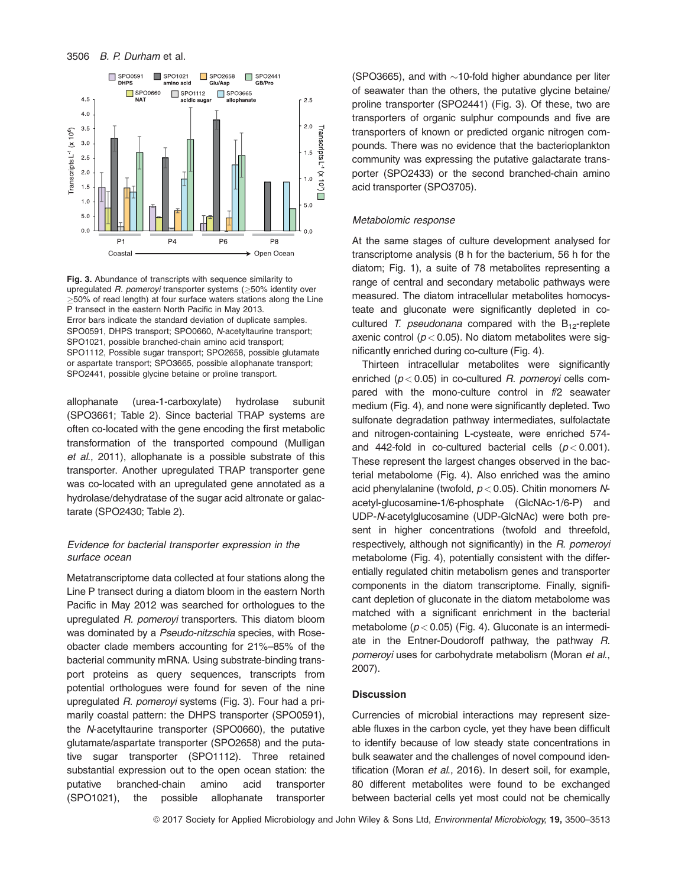

Fig. 3. Abundance of transcripts with sequence similarity to upregulated *R. pomeroyi* transporter systems (≥50% identity over  $\geq$ 50% of read length) at four surface waters stations along the Line P transect in the eastern North Pacific in May 2013. Error bars indicate the standard deviation of duplicate samples. SPO0591, DHPS transport; SPO0660, N-acetyltaurine transport; SPO1021, possible branched-chain amino acid transport; SPO1112, Possible sugar transport; SPO2658, possible glutamate or aspartate transport; SPO3665, possible allophanate transport; SPO2441, possible glycine betaine or proline transport.

allophanate (urea-1-carboxylate) hydrolase subunit (SPO3661; Table 2). Since bacterial TRAP systems are often co-located with the gene encoding the first metabolic transformation of the transported compound (Mulligan et al., 2011), allophanate is a possible substrate of this transporter. Another upregulated TRAP transporter gene was co-located with an upregulated gene annotated as a hydrolase/dehydratase of the sugar acid altronate or galactarate (SPO2430; Table 2).

#### Evidence for bacterial transporter expression in the surface ocean

Metatranscriptome data collected at four stations along the Line P transect during a diatom bloom in the eastern North Pacific in May 2012 was searched for orthologues to the upregulated R. pomeroyi transporters. This diatom bloom was dominated by a Pseudo-nitzschia species, with Roseobacter clade members accounting for 21%–85% of the bacterial community mRNA. Using substrate-binding transport proteins as query sequences, transcripts from potential orthologues were found for seven of the nine upregulated R. pomeroyi systems (Fig. 3). Four had a primarily coastal pattern: the DHPS transporter (SPO0591), the N-acetyltaurine transporter (SPO0660), the putative glutamate/aspartate transporter (SPO2658) and the putative sugar transporter (SPO1112). Three retained substantial expression out to the open ocean station: the putative branched-chain amino acid transporter (SPO1021), the possible allophanate transporter

(SPO3665), and with  $\sim$ 10-fold higher abundance per liter of seawater than the others, the putative glycine betaine/ proline transporter (SPO2441) (Fig. 3). Of these, two are transporters of organic sulphur compounds and five are transporters of known or predicted organic nitrogen compounds. There was no evidence that the bacterioplankton community was expressing the putative galactarate transporter (SPO2433) or the second branched-chain amino acid transporter (SPO3705).

#### Metabolomic response

At the same stages of culture development analysed for transcriptome analysis (8 h for the bacterium, 56 h for the diatom; Fig. 1), a suite of 78 metabolites representing a range of central and secondary metabolic pathways were measured. The diatom intracellular metabolites homocysteate and gluconate were significantly depleted in cocultured T. pseudonana compared with the  $B_{12}$ -replete axenic control ( $p < 0.05$ ). No diatom metabolites were significantly enriched during co-culture (Fig. 4).

Thirteen intracellular metabolites were significantly enriched ( $p < 0.05$ ) in co-cultured R. pomeroyi cells compared with the mono-culture control in f/2 seawater medium (Fig. 4), and none were significantly depleted. Two sulfonate degradation pathway intermediates, sulfolactate and nitrogen-containing L-cysteate, were enriched 574 and 442-fold in co-cultured bacterial cells  $(p < 0.001)$ . These represent the largest changes observed in the bacterial metabolome (Fig. 4). Also enriched was the amino acid phenylalanine (twofold,  $p < 0.05$ ). Chitin monomers Nacetyl-glucosamine-1/6-phosphate (GlcNAc-1/6-P) and UDP-N-acetylglucosamine (UDP-GlcNAc) were both present in higher concentrations (twofold and threefold, respectively, although not significantly) in the R. pomeroyi metabolome (Fig. 4), potentially consistent with the differentially regulated chitin metabolism genes and transporter components in the diatom transcriptome. Finally, significant depletion of gluconate in the diatom metabolome was matched with a significant enrichment in the bacterial metabolome ( $p < 0.05$ ) (Fig. 4). Gluconate is an intermediate in the Entner-Doudoroff pathway, the pathway R. pomeroyi uses for carbohydrate metabolism (Moran et al., 2007).

# **Discussion**

Currencies of microbial interactions may represent sizeable fluxes in the carbon cycle, yet they have been difficult to identify because of low steady state concentrations in bulk seawater and the challenges of novel compound identification (Moran et al., 2016). In desert soil, for example, 80 different metabolites were found to be exchanged between bacterial cells yet most could not be chemically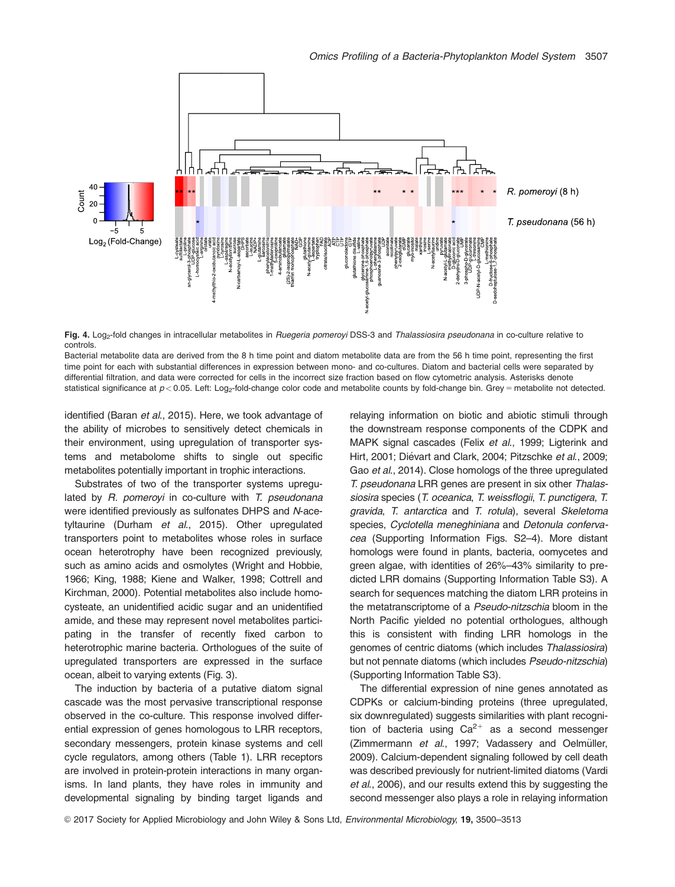

Fig. 4. Log<sub>2</sub>-fold changes in intracellular metabolites in Ruegeria pomeroyi DSS-3 and Thalassiosira pseudonana in co-culture relative to controls.

Bacterial metabolite data are derived from the 8 h time point and diatom metabolite data are from the 56 h time point, representing the first time point for each with substantial differences in expression between mono- and co-cultures. Diatom and bacterial cells were separated by differential filtration, and data were corrected for cells in the incorrect size fraction based on flow cytometric analysis. Asterisks denote statistical significance at  $p < 0.05$ . Left: Log<sub>2</sub>-fold-change color code and metabolite counts by fold-change bin. Grey = metabolite not detected.

identified (Baran et al., 2015). Here, we took advantage of the ability of microbes to sensitively detect chemicals in their environment, using upregulation of transporter systems and metabolome shifts to single out specific metabolites potentially important in trophic interactions.

Substrates of two of the transporter systems upregulated by  $R$ . pomeroyi in co-culture with  $T$ . pseudonana were identified previously as sulfonates DHPS and N-acetyltaurine (Durham et al., 2015). Other upregulated transporters point to metabolites whose roles in surface ocean heterotrophy have been recognized previously, such as amino acids and osmolytes (Wright and Hobbie, 1966; King, 1988; Kiene and Walker, 1998; Cottrell and Kirchman, 2000). Potential metabolites also include homocysteate, an unidentified acidic sugar and an unidentified amide, and these may represent novel metabolites participating in the transfer of recently fixed carbon to heterotrophic marine bacteria. Orthologues of the suite of upregulated transporters are expressed in the surface ocean, albeit to varying extents (Fig. 3).

The induction by bacteria of a putative diatom signal cascade was the most pervasive transcriptional response observed in the co-culture. This response involved differential expression of genes homologous to LRR receptors, secondary messengers, protein kinase systems and cell cycle regulators, among others (Table 1). LRR receptors are involved in protein-protein interactions in many organisms. In land plants, they have roles in immunity and developmental signaling by binding target ligands and

relaying information on biotic and abiotic stimuli through the downstream response components of the CDPK and MAPK signal cascades (Felix et al., 1999; Ligterink and Hirt, 2001; Diévart and Clark, 2004; Pitzschke et al., 2009; Gao et al., 2014). Close homologs of the three upregulated T. pseudonana LRR genes are present in six other Thalassiosira species (T. oceanica, T. weissflogii, T. punctigera, T. gravida, T. antarctica and T. rotula), several Skeletoma species, Cyclotella meneghiniana and Detonula confervacea (Supporting Information Figs. S2–4). More distant homologs were found in plants, bacteria, oomycetes and green algae, with identities of 26%–43% similarity to predicted LRR domains (Supporting Information Table S3). A search for sequences matching the diatom LRR proteins in the metatranscriptome of a Pseudo-nitzschia bloom in the North Pacific yielded no potential orthologues, although this is consistent with finding LRR homologs in the genomes of centric diatoms (which includes Thalassiosira) but not pennate diatoms (which includes Pseudo-nitzschia) (Supporting Information Table S3).

The differential expression of nine genes annotated as CDPKs or calcium-binding proteins (three upregulated, six downregulated) suggests similarities with plant recognition of bacteria using  $Ca^{2+}$  as a second messenger (Zimmermann et al., 1997; Vadassery and Oelmüller, 2009). Calcium-dependent signaling followed by cell death was described previously for nutrient-limited diatoms (Vardi et al., 2006), and our results extend this by suggesting the second messenger also plays a role in relaying information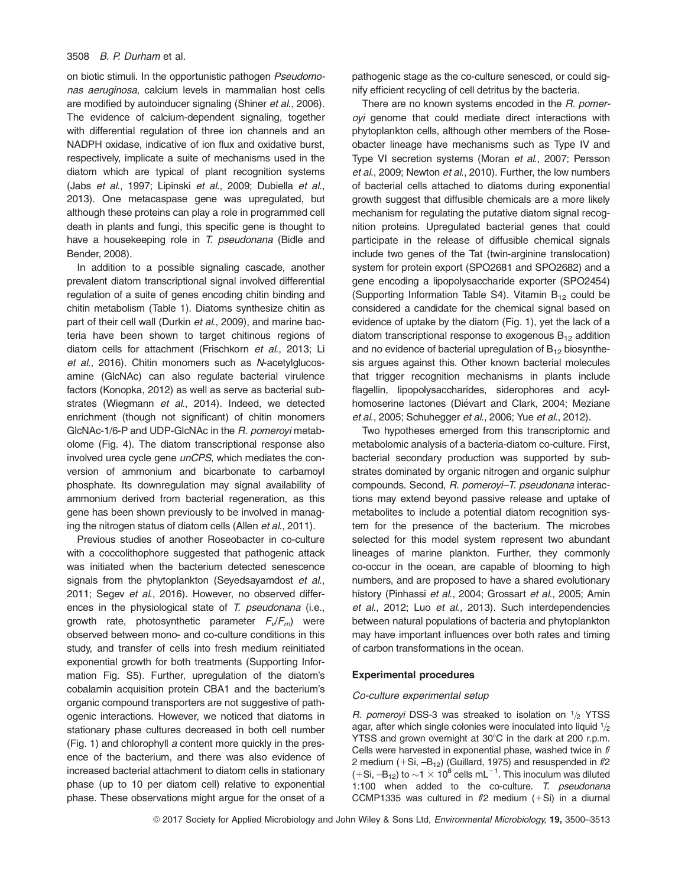on biotic stimuli. In the opportunistic pathogen Pseudomonas aeruginosa, calcium levels in mammalian host cells are modified by autoinducer signaling (Shiner et al., 2006). The evidence of calcium-dependent signaling, together with differential regulation of three ion channels and an NADPH oxidase, indicative of ion flux and oxidative burst, respectively, implicate a suite of mechanisms used in the diatom which are typical of plant recognition systems (Jabs et al., 1997; Lipinski et al., 2009; Dubiella et al., 2013). One metacaspase gene was upregulated, but although these proteins can play a role in programmed cell death in plants and fungi, this specific gene is thought to have a housekeeping role in T. pseudonana (Bidle and Bender, 2008).

In addition to a possible signaling cascade, another prevalent diatom transcriptional signal involved differential regulation of a suite of genes encoding chitin binding and chitin metabolism (Table 1). Diatoms synthesize chitin as part of their cell wall (Durkin et al., 2009), and marine bacteria have been shown to target chitinous regions of diatom cells for attachment (Frischkorn et al., 2013; Li et al., 2016). Chitin monomers such as N-acetylglucosamine (GlcNAc) can also regulate bacterial virulence factors (Konopka, 2012) as well as serve as bacterial substrates (Wiegmann et al., 2014). Indeed, we detected enrichment (though not significant) of chitin monomers GlcNAc-1/6-P and UDP-GlcNAc in the R. pomeroyi metabolome (Fig. 4). The diatom transcriptional response also involved urea cycle gene *unCPS*, which mediates the conversion of ammonium and bicarbonate to carbamoyl phosphate. Its downregulation may signal availability of ammonium derived from bacterial regeneration, as this gene has been shown previously to be involved in managing the nitrogen status of diatom cells (Allen et al., 2011).

Previous studies of another Roseobacter in co-culture with a coccolithophore suggested that pathogenic attack was initiated when the bacterium detected senescence signals from the phytoplankton (Seyedsayamdost et al., 2011; Segev et al., 2016). However, no observed differences in the physiological state of T. pseudonana (i.e., growth rate, photosynthetic parameter  $F_v/F_m$ ) were observed between mono- and co-culture conditions in this study, and transfer of cells into fresh medium reinitiated exponential growth for both treatments (Supporting Information Fig. S5). Further, upregulation of the diatom's cobalamin acquisition protein CBA1 and the bacterium's organic compound transporters are not suggestive of pathogenic interactions. However, we noticed that diatoms in stationary phase cultures decreased in both cell number (Fig. 1) and chlorophyll a content more quickly in the presence of the bacterium, and there was also evidence of increased bacterial attachment to diatom cells in stationary phase (up to 10 per diatom cell) relative to exponential phase. These observations might argue for the onset of a pathogenic stage as the co-culture senesced, or could signify efficient recycling of cell detritus by the bacteria.

There are no known systems encoded in the R. pomeroyi genome that could mediate direct interactions with phytoplankton cells, although other members of the Roseobacter lineage have mechanisms such as Type IV and Type VI secretion systems (Moran et al., 2007; Persson et al., 2009; Newton et al., 2010). Further, the low numbers of bacterial cells attached to diatoms during exponential growth suggest that diffusible chemicals are a more likely mechanism for regulating the putative diatom signal recognition proteins. Upregulated bacterial genes that could participate in the release of diffusible chemical signals include two genes of the Tat (twin-arginine translocation) system for protein export (SPO2681 and SPO2682) and a gene encoding a lipopolysaccharide exporter (SPO2454) (Supporting Information Table S4). Vitamin  $B_{12}$  could be considered a candidate for the chemical signal based on evidence of uptake by the diatom (Fig. 1), yet the lack of a diatom transcriptional response to exogenous  $B_{12}$  addition and no evidence of bacterial upregulation of  $B_{12}$  biosynthesis argues against this. Other known bacterial molecules that trigger recognition mechanisms in plants include flagellin, lipopolysaccharides, siderophores and acylhomoserine lactones (Diévart and Clark, 2004; Meziane et al., 2005; Schuhegger et al., 2006; Yue et al., 2012).

Two hypotheses emerged from this transcriptomic and metabolomic analysis of a bacteria-diatom co-culture. First, bacterial secondary production was supported by substrates dominated by organic nitrogen and organic sulphur compounds. Second, R. pomeroyi–T. pseudonana interactions may extend beyond passive release and uptake of metabolites to include a potential diatom recognition system for the presence of the bacterium. The microbes selected for this model system represent two abundant lineages of marine plankton. Further, they commonly co-occur in the ocean, are capable of blooming to high numbers, and are proposed to have a shared evolutionary history (Pinhassi et al., 2004; Grossart et al., 2005; Amin et al., 2012; Luo et al., 2013). Such interdependencies between natural populations of bacteria and phytoplankton may have important influences over both rates and timing of carbon transformations in the ocean.

# Experimental procedures

#### Co-culture experimental setup

R. pomeroyi DSS-3 was streaked to isolation on  $1/2$  YTSS agar, after which single colonies were inoculated into liquid  $1/2$ YTSS and grown overnight at 30°C in the dark at 200 r.p.m. Cells were harvested in exponential phase, washed twice in f/ 2 medium  $(+Si, -B_{12})$  (Guillard, 1975) and resuspended in  $f/2$  $(+Si, -B_{12})$  to  $\sim$ 1  $\times$  10<sup>8</sup> cells mL<sup>-1</sup>. This inoculum was diluted 1:100 when added to the co-culture. T. pseudonana CCMP1335 was cultured in  $f/2$  medium  $(+Si)$  in a diurnal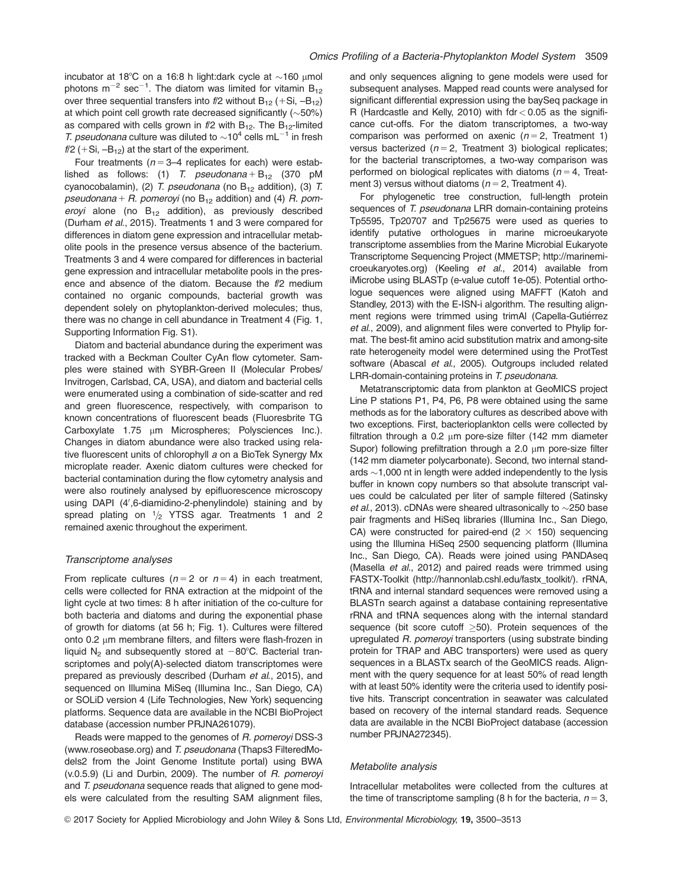incubator at 18°C on a 16:8 h light:dark cycle at  $\sim$ 160 µmol photons m<sup>-2</sup> sec<sup>-1</sup>. The diatom was limited for vitamin  $B_{12}$ over three sequential transfers into  $f/2$  without  $B_{12}$  (+Si,  $-B_{12}$ ) at which point cell growth rate decreased significantly  $(\sim 50\%)$ as compared with cells grown in  $f/2$  with  $B_{12}$ . The  $B_{12}$ -limited T. pseudonana culture was diluted to  $\sim$ 10<sup>4</sup> cells mL<sup>-1</sup> in fresh  $f/2$  (+Si,  $-B_{12}$ ) at the start of the experiment.

Four treatments ( $n = 3-4$  replicates for each) were established as follows: (1) T. pseudonana +  $B_{12}$  (370 pM cyanocobalamin), (2) T. pseudonana (no  $B_{12}$  addition), (3) T. pseudonana + R. pomeroyi (no  $B_{12}$  addition) and (4) R. pomeroyi alone (no  $B_{12}$  addition), as previously described (Durham et al., 2015). Treatments 1 and 3 were compared for differences in diatom gene expression and intracellular metabolite pools in the presence versus absence of the bacterium. Treatments 3 and 4 were compared for differences in bacterial gene expression and intracellular metabolite pools in the presence and absence of the diatom. Because the f/2 medium contained no organic compounds, bacterial growth was dependent solely on phytoplankton-derived molecules; thus, there was no change in cell abundance in Treatment 4 (Fig. 1, Supporting Information Fig. S1).

Diatom and bacterial abundance during the experiment was tracked with a Beckman Coulter CyAn flow cytometer. Samples were stained with SYBR-Green II (Molecular Probes/ Invitrogen, Carlsbad, CA, USA), and diatom and bacterial cells were enumerated using a combination of side-scatter and red and green fluorescence, respectively, with comparison to known concentrations of fluorescent beads (Fluoresbrite TG Carboxylate 1.75 um Microspheres; Polysciences Inc.). Changes in diatom abundance were also tracked using relative fluorescent units of chlorophyll a on a BioTek Synergy Mx microplate reader. Axenic diatom cultures were checked for bacterial contamination during the flow cytometry analysis and were also routinely analysed by epifluorescence microscopy using DAPI (4',6-diamidino-2-phenylindole) staining and by spread plating on  $1/2$  YTSS agar. Treatments 1 and 2 remained axenic throughout the experiment.

#### Transcriptome analyses

From replicate cultures ( $n = 2$  or  $n = 4$ ) in each treatment, cells were collected for RNA extraction at the midpoint of the light cycle at two times: 8 h after initiation of the co-culture for both bacteria and diatoms and during the exponential phase of growth for diatoms (at 56 h; Fig. 1). Cultures were filtered onto  $0.2 \mu m$  membrane filters, and filters were flash-frozen in liquid N<sub>2</sub> and subsequently stored at  $-80^{\circ}$ C. Bacterial transcriptomes and poly(A)-selected diatom transcriptomes were prepared as previously described (Durham et al., 2015), and sequenced on Illumina MiSeq (Illumina Inc., San Diego, CA) or SOLiD version 4 (Life Technologies, New York) sequencing platforms. Sequence data are available in the NCBI BioProject database (accession number PRJNA261079).

Reads were mapped to the genomes of R. pomeroyi DSS-3 ([www.roseobase.org\)](http://www.roseobase.org) and T. pseudonana (Thaps3 FilteredModels2 from the Joint Genome Institute portal) using BWA (v.0.5.9) (Li and Durbin, 2009). The number of R. pomeroyi and T. pseudonana sequence reads that aligned to gene models were calculated from the resulting SAM alignment files,

and only sequences aligning to gene models were used for subsequent analyses. Mapped read counts were analysed for significant differential expression using the baySeq package in R (Hardcastle and Kelly, 2010) with  $fdr < 0.05$  as the significance cut-offs. For the diatom transcriptomes, a two-way comparison was performed on axenic  $(n = 2,$  Treatment 1) versus bacterized ( $n = 2$ , Treatment 3) biological replicates; for the bacterial transcriptomes, a two-way comparison was performed on biological replicates with diatoms ( $n = 4$ , Treatment 3) versus without diatoms ( $n = 2$ , Treatment 4).

For phylogenetic tree construction, full-length protein sequences of T. pseudonana LRR domain-containing proteins Tp5595, Tp20707 and Tp25675 were used as queries to identify putative orthologues in marine microeukaryote transcriptome assemblies from the Marine Microbial Eukaryote Transcriptome Sequencing Project (MMETSP; [http://marinemi](http://marinemicroeukaryotes.org)[croeukaryotes.org](http://marinemicroeukaryotes.org)) (Keeling et al., 2014) available from iMicrobe using BLASTp (e-value cutoff 1e-05). Potential orthologue sequences were aligned using MAFFT (Katoh and Standley, 2013) with the E-ISN-i algorithm. The resulting alignment regions were trimmed using trimAl (Capella-Gutiérrez et al., 2009), and alignment files were converted to Phylip format. The best-fit amino acid substitution matrix and among-site rate heterogeneity model were determined using the ProtTest software (Abascal et al., 2005). Outgroups included related LRR-domain-containing proteins in T. pseudonana.

Metatranscriptomic data from plankton at GeoMICS project Line P stations P1, P4, P6, P8 were obtained using the same methods as for the laboratory cultures as described above with two exceptions. First, bacterioplankton cells were collected by filtration through a 0.2  $\mu$ m pore-size filter (142 mm diameter Supor) following prefiltration through a 2.0  $\mu$ m pore-size filter (142 mm diameter polycarbonate). Second, two internal standards  $\sim$  1,000 nt in length were added independently to the lysis buffer in known copy numbers so that absolute transcript values could be calculated per liter of sample filtered (Satinsky et al., 2013). cDNAs were sheared ultrasonically to  $\sim$ 250 base pair fragments and HiSeq libraries (Illumina Inc., San Diego, CA) were constructed for paired-end ( $2 \times 150$ ) sequencing using the Illumina HiSeq 2500 sequencing platform (Illumina Inc., San Diego, CA). Reads were joined using PANDAseq (Masella et al., 2012) and paired reads were trimmed using FASTX-Toolkit [\(http://hannonlab.cshl.edu/fastx\\_toolkit/](http://hannonlab.cshl.edu/fastx_toolkit)). rRNA, tRNA and internal standard sequences were removed using a BLASTn search against a database containing representative rRNA and tRNA sequences along with the internal standard sequence (bit score cutoff  $\geq$ 50). Protein sequences of the upregulated R. pomeroyi transporters (using substrate binding protein for TRAP and ABC transporters) were used as query sequences in a BLASTx search of the GeoMICS reads. Alignment with the query sequence for at least 50% of read length with at least 50% identity were the criteria used to identify positive hits. Transcript concentration in seawater was calculated based on recovery of the internal standard reads. Sequence data are available in the NCBI BioProject database (accession number PRJNA272345).

#### Metabolite analysis

Intracellular metabolites were collected from the cultures at the time of transcriptome sampling (8 h for the bacteria,  $n = 3$ ,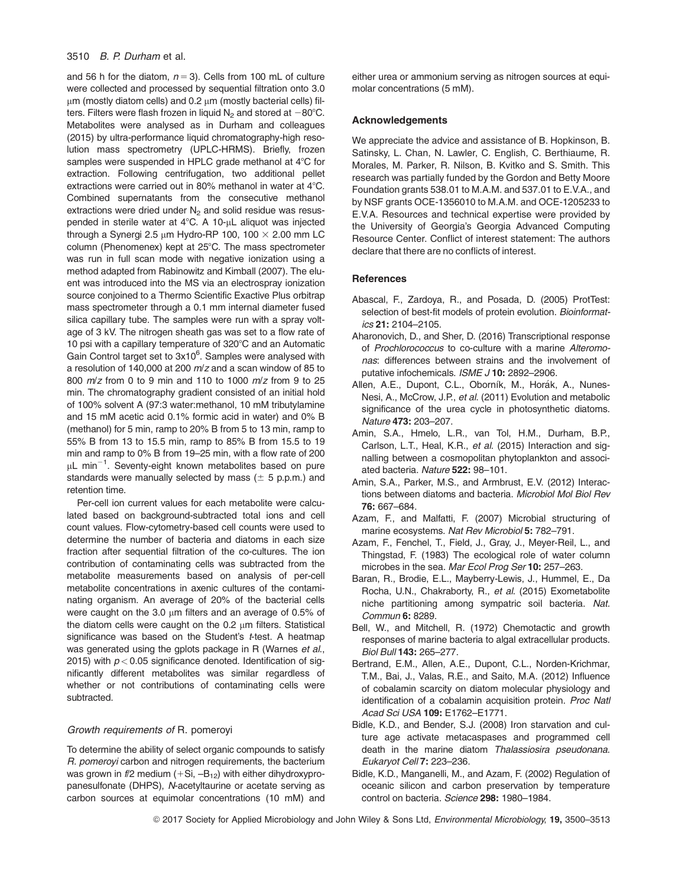and 56 h for the diatom,  $n = 3$ ). Cells from 100 mL of culture were collected and processed by sequential filtration onto 3.0  $\mu$ m (mostly diatom cells) and 0.2  $\mu$ m (mostly bacterial cells) filters. Filters were flash frozen in liquid  $N_2$  and stored at  $-80^{\circ}$ C. Metabolites were analysed as in Durham and colleagues (2015) by ultra-performance liquid chromatography-high resolution mass spectrometry (UPLC-HRMS). Briefly, frozen samples were suspended in HPLC grade methanol at  $4^{\circ}$ C for extraction. Following centrifugation, two additional pellet extractions were carried out in 80% methanol in water at  $4^{\circ}$ C. Combined supernatants from the consecutive methanol extractions were dried under  $N_2$  and solid residue was resuspended in sterile water at  $4^{\circ}$ C. A 10- $\mu$ L aliquot was injected through a Synergi 2.5  $\mu$ m Hydro-RP 100, 100  $\times$  2.00 mm LC column (Phenomenex) kept at 25°C. The mass spectrometer was run in full scan mode with negative ionization using a method adapted from Rabinowitz and Kimball (2007). The eluent was introduced into the MS via an electrospray ionization source conjoined to a Thermo Scientific Exactive Plus orbitrap mass spectrometer through a 0.1 mm internal diameter fused silica capillary tube. The samples were run with a spray voltage of 3 kV. The nitrogen sheath gas was set to a flow rate of 10 psi with a capillary temperature of  $320^{\circ}$ C and an Automatic Gain Control target set to 3x10<sup>6</sup>. Samples were analysed with a resolution of 140,000 at 200 m/z and a scan window of 85 to 800 m/z from 0 to 9 min and 110 to 1000 m/z from 9 to 25 min. The chromatography gradient consisted of an initial hold of 100% solvent A (97:3 water:methanol, 10 mM tributylamine and 15 mM acetic acid 0.1% formic acid in water) and 0% B (methanol) for 5 min, ramp to 20% B from 5 to 13 min, ramp to 55% B from 13 to 15.5 min, ramp to 85% B from 15.5 to 19 min and ramp to 0% B from 19–25 min, with a flow rate of 200  $\mu$ L min $^{-1}$ . Seventy-eight known metabolites based on pure standards were manually selected by mass ( $\pm$  5 p.p.m.) and retention time.

Per-cell ion current values for each metabolite were calculated based on background-subtracted total ions and cell count values. Flow-cytometry-based cell counts were used to determine the number of bacteria and diatoms in each size fraction after sequential filtration of the co-cultures. The ion contribution of contaminating cells was subtracted from the metabolite measurements based on analysis of per-cell metabolite concentrations in axenic cultures of the contaminating organism. An average of 20% of the bacterial cells were caught on the 3.0  $\mu$ m filters and an average of 0.5% of the diatom cells were caught on the  $0.2 \mu m$  filters. Statistical significance was based on the Student's t-test. A heatmap was generated using the gplots package in R (Warnes et al., 2015) with  $p < 0.05$  significance denoted. Identification of significantly different metabolites was similar regardless of whether or not contributions of contaminating cells were subtracted.

#### Growth requirements of R. pomeroyi

To determine the ability of select organic compounds to satisfy R. pomeroyi carbon and nitrogen requirements, the bacterium was grown in  $f/2$  medium  $(+Si, -B_{12})$  with either dihydroxypropanesulfonate (DHPS), N-acetyltaurine or acetate serving as carbon sources at equimolar concentrations (10 mM) and

either urea or ammonium serving as nitrogen sources at equimolar concentrations (5 mM).

#### Acknowledgements

We appreciate the advice and assistance of B. Hopkinson, B. Satinsky, L. Chan, N. Lawler, C. English, C. Berthiaume, R. Morales, M. Parker, R. Nilson, B. Kvitko and S. Smith. This research was partially funded by the Gordon and Betty Moore Foundation grants 538.01 to M.A.M. and 537.01 to E.V.A., and by NSF grants OCE-1356010 to M.A.M. and OCE-1205233 to E.V.A. Resources and technical expertise were provided by the University of Georgia's Georgia Advanced Computing Resource Center. Conflict of interest statement: The authors declare that there are no conflicts of interest.

#### **References**

- Abascal, F., Zardoya, R., and Posada, D. (2005) ProtTest: selection of best-fit models of protein evolution. Bioinformatics 21: 2104–2105.
- Aharonovich, D., and Sher, D. (2016) Transcriptional response of Prochlorococcus to co-culture with a marine Alteromonas: differences between strains and the involvement of putative infochemicals. ISME J 10: 2892–2906.
- Allen, A.E., Dupont, C.L., Oborník, M., Horák, A., Nunes-Nesi, A., McCrow, J.P., et al. (2011) Evolution and metabolic significance of the urea cycle in photosynthetic diatoms. Nature 473: 203–207.
- Amin, S.A., Hmelo, L.R., van Tol, H.M., Durham, B.P., Carlson, L.T., Heal, K.R., et al. (2015) Interaction and signalling between a cosmopolitan phytoplankton and associated bacteria. Nature 522: 98–101.
- Amin, S.A., Parker, M.S., and Armbrust, E.V. (2012) Interactions between diatoms and bacteria. Microbiol Mol Biol Rev 76: 667–684.
- Azam, F., and Malfatti, F. (2007) Microbial structuring of marine ecosystems. Nat Rev Microbiol 5: 782–791.
- Azam, F., Fenchel, T., Field, J., Gray, J., Meyer-Reil, L., and Thingstad, F. (1983) The ecological role of water column microbes in the sea. Mar Ecol Prog Ser 10: 257-263.
- Baran, R., Brodie, E.L., Mayberry-Lewis, J., Hummel, E., Da Rocha, U.N., Chakraborty, R., et al. (2015) Exometabolite niche partitioning among sympatric soil bacteria. Nat. Commun 6: 8289.
- Bell, W., and Mitchell, R. (1972) Chemotactic and growth responses of marine bacteria to algal extracellular products. Biol Bull 143: 265–277.
- Bertrand, E.M., Allen, A.E., Dupont, C.L., Norden-Krichmar, T.M., Bai, J., Valas, R.E., and Saito, M.A. (2012) Influence of cobalamin scarcity on diatom molecular physiology and identification of a cobalamin acquisition protein. Proc Natl Acad Sci USA 109: E1762–E1771.
- Bidle, K.D., and Bender, S.J. (2008) Iron starvation and culture age activate metacaspases and programmed cell death in the marine diatom Thalassiosira pseudonana. Eukaryot Cell 7: 223–236.
- Bidle, K.D., Manganelli, M., and Azam, F. (2002) Regulation of oceanic silicon and carbon preservation by temperature control on bacteria. Science 298: 1980–1984.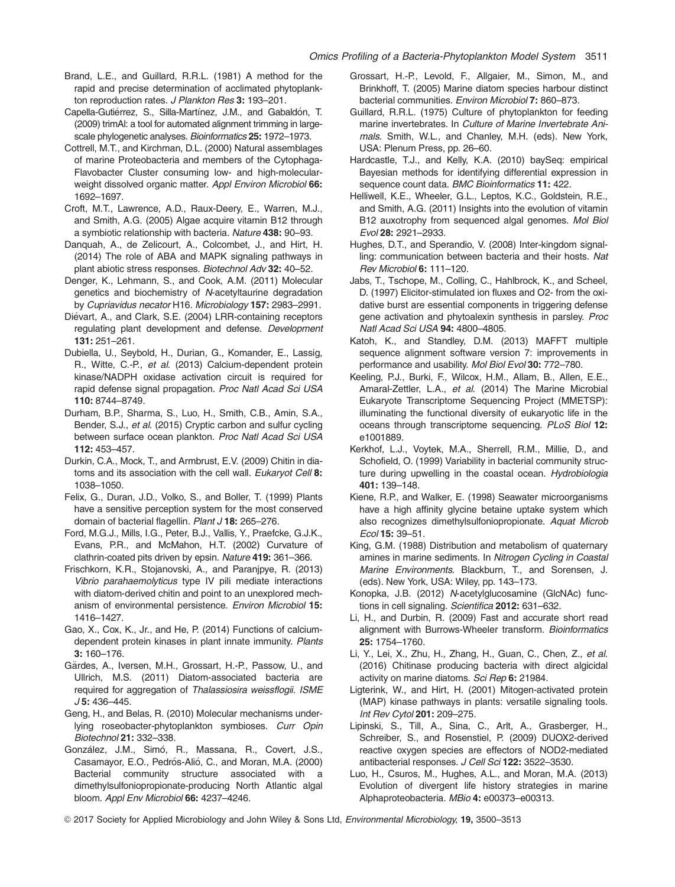- Brand, L.E., and Guillard, R.R.L. (1981) A method for the rapid and precise determination of acclimated phytoplankton reproduction rates. J Plankton Res 3: 193-201.
- Capella-Gutiérrez, S., Silla-Martínez, J.M., and Gabaldón, T. (2009) trimAl: a tool for automated alignment trimming in largescale phylogenetic analyses. Bioinformatics 25: 1972–1973.
- Cottrell, M.T., and Kirchman, D.L. (2000) Natural assemblages of marine Proteobacteria and members of the Cytophaga-Flavobacter Cluster consuming low- and high-molecularweight dissolved organic matter. Appl Environ Microbiol 66: 1692–1697.
- Croft, M.T., Lawrence, A.D., Raux-Deery, E., Warren, M.J., and Smith, A.G. (2005) Algae acquire vitamin B12 through a symbiotic relationship with bacteria. Nature 438: 90–93.
- Danquah, A., de Zelicourt, A., Colcombet, J., and Hirt, H. (2014) The role of ABA and MAPK signaling pathways in plant abiotic stress responses. Biotechnol Adv 32: 40–52.
- Denger, K., Lehmann, S., and Cook, A.M. (2011) Molecular genetics and biochemistry of N-acetyltaurine degradation by Cupriavidus necator H16. Microbiology 157: 2983–2991.
- Diévart, A., and Clark, S.E. (2004) LRR-containing receptors regulating plant development and defense. Development 131: 251–261.
- Dubiella, U., Seybold, H., Durian, G., Komander, E., Lassig, R., Witte, C.-P., et al. (2013) Calcium-dependent protein kinase/NADPH oxidase activation circuit is required for rapid defense signal propagation. Proc Natl Acad Sci USA 110: 8744–8749.
- Durham, B.P., Sharma, S., Luo, H., Smith, C.B., Amin, S.A., Bender, S.J., et al. (2015) Cryptic carbon and sulfur cycling between surface ocean plankton. Proc Natl Acad Sci USA 112: 453–457.
- Durkin, C.A., Mock, T., and Armbrust, E.V. (2009) Chitin in diatoms and its association with the cell wall. Eukaryot Cell 8: 1038–1050.
- Felix, G., Duran, J.D., Volko, S., and Boller, T. (1999) Plants have a sensitive perception system for the most conserved domain of bacterial flagellin. Plant J 18: 265-276.
- Ford, M.G.J., Mills, I.G., Peter, B.J., Vallis, Y., Praefcke, G.J.K., Evans, P.R., and McMahon, H.T. (2002) Curvature of clathrin-coated pits driven by epsin. Nature 419: 361–366.
- Frischkorn, K.R., Stojanovski, A., and Paranjpye, R. (2013) Vibrio parahaemolyticus type IV pili mediate interactions with diatom-derived chitin and point to an unexplored mechanism of environmental persistence. Environ Microbiol 15: 1416–1427.
- Gao, X., Cox, K., Jr., and He, P. (2014) Functions of calciumdependent protein kinases in plant innate immunity. Plants 3: 160–176.
- Gärdes, A., Iversen, M.H., Grossart, H.-P., Passow, U., and Ullrich, M.S. (2011) Diatom-associated bacteria are required for aggregation of Thalassiosira weissflogii. ISME J 5: 436–445.
- Geng, H., and Belas, R. (2010) Molecular mechanisms underlying roseobacter-phytoplankton symbioses. Curr Opin Biotechnol 21: 332–338.
- González, J.M., Simó, R., Massana, R., Covert, J.S., Casamayor, E.O., Pedrós-Alió, C., and Moran, M.A. (2000) Bacterial community structure associated with a dimethylsulfoniopropionate-producing North Atlantic algal bloom. Appl Env Microbiol 66: 4237–4246.
- Grossart, H.-P., Levold, F., Allgaier, M., Simon, M., and Brinkhoff, T. (2005) Marine diatom species harbour distinct bacterial communities. Environ Microbiol 7: 860–873.
- Guillard, R.R.L. (1975) Culture of phytoplankton for feeding marine invertebrates. In Culture of Marine Invertebrate Animals. Smith, W.L., and Chanley, M.H. (eds). New York, USA: Plenum Press, pp. 26–60.
- Hardcastle, T.J., and Kelly, K.A. (2010) baySeq: empirical Bayesian methods for identifying differential expression in sequence count data. BMC Bioinformatics 11: 422.
- Helliwell, K.E., Wheeler, G.L., Leptos, K.C., Goldstein, R.E., and Smith, A.G. (2011) Insights into the evolution of vitamin B12 auxotrophy from sequenced algal genomes. Mol Biol Evol 28: 2921–2933.
- Hughes, D.T., and Sperandio, V. (2008) Inter-kingdom signalling: communication between bacteria and their hosts. Nat Rev Microbiol 6: 111–120.
- Jabs, T., Tschope, M., Colling, C., Hahlbrock, K., and Scheel, D. (1997) Elicitor-stimulated ion fluxes and O2- from the oxidative burst are essential components in triggering defense gene activation and phytoalexin synthesis in parsley. Proc Natl Acad Sci USA 94: 4800–4805.
- Katoh, K., and Standley, D.M. (2013) MAFFT multiple sequence alignment software version 7: improvements in performance and usability. Mol Biol Evol 30: 772–780.
- Keeling, P.J., Burki, F., Wilcox, H.M., Allam, B., Allen, E.E., Amaral-Zettler, L.A., et al. (2014) The Marine Microbial Eukaryote Transcriptome Sequencing Project (MMETSP): illuminating the functional diversity of eukaryotic life in the oceans through transcriptome sequencing. PLoS Biol 12: e1001889.
- Kerkhof, L.J., Voytek, M.A., Sherrell, R.M., Millie, D., and Schofield, O. (1999) Variability in bacterial community structure during upwelling in the coastal ocean. Hydrobiologia 401: 139–148.
- Kiene, R.P., and Walker, E. (1998) Seawater microorganisms have a high affinity glycine betaine uptake system which also recognizes dimethylsulfoniopropionate. Aquat Microb Ecol 15: 39–51.
- King, G.M. (1988) Distribution and metabolism of quaternary amines in marine sediments. In Nitrogen Cycling in Coastal Marine Environments. Blackburn, T., and Sorensen, J. (eds). New York, USA: Wiley, pp. 143–173.
- Konopka, J.B. (2012) N-acetylglucosamine (GlcNAc) functions in cell signaling. Scientifica 2012: 631-632.
- Li, H., and Durbin, R. (2009) Fast and accurate short read alignment with Burrows-Wheeler transform. Bioinformatics 25: 1754–1760.
- Li, Y., Lei, X., Zhu, H., Zhang, H., Guan, C., Chen, Z., et al. (2016) Chitinase producing bacteria with direct algicidal activity on marine diatoms. Sci Rep 6: 21984.
- Ligterink, W., and Hirt, H. (2001) Mitogen-activated protein (MAP) kinase pathways in plants: versatile signaling tools. Int Rev Cytol 201: 209–275.
- Lipinski, S., Till, A., Sina, C., Arlt, A., Grasberger, H., Schreiber, S., and Rosenstiel, P. (2009) DUOX2-derived reactive oxygen species are effectors of NOD2-mediated antibacterial responses. J Cell Sci 122: 3522-3530.
- Luo, H., Csuros, M., Hughes, A.L., and Moran, M.A. (2013) Evolution of divergent life history strategies in marine Alphaproteobacteria. MBio 4: e00373–e00313.
- © 2017 Society for Applied Microbiology and John Wiley & Sons Ltd, Environmental Microbiology, 19, 3500–3513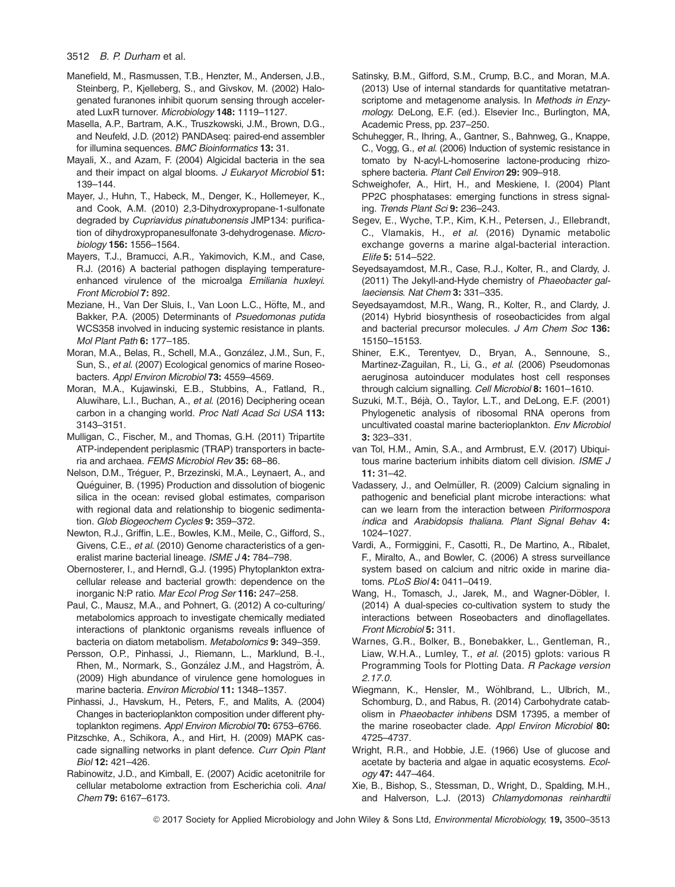- Manefield, M., Rasmussen, T.B., Henzter, M., Andersen, J.B., Steinberg, P., Kjelleberg, S., and Givskov, M. (2002) Halogenated furanones inhibit quorum sensing through accelerated LuxR turnover. Microbiology 148: 1119-1127.
- Masella, A.P., Bartram, A.K., Truszkowski, J.M., Brown, D.G., and Neufeld, J.D. (2012) PANDAseq: paired-end assembler for illumina sequences. BMC Bioinformatics 13: 31.
- Mayali, X., and Azam, F. (2004) Algicidal bacteria in the sea and their impact on algal blooms. J Eukaryot Microbiol 51: 139–144.
- Mayer, J., Huhn, T., Habeck, M., Denger, K., Hollemeyer, K., and Cook, A.M. (2010) 2,3-Dihydroxypropane-1-sulfonate degraded by Cupriavidus pinatubonensis JMP134: purification of dihydroxypropanesulfonate 3-dehydrogenase. Microbiology 156: 1556–1564.
- Mayers, T.J., Bramucci, A.R., Yakimovich, K.M., and Case, R.J. (2016) A bacterial pathogen displaying temperatureenhanced virulence of the microalga Emiliania huxleyi. Front Microbiol 7: 892.
- Meziane, H., Van Der Sluis, I., Van Loon L.C., Höfte, M., and Bakker, P.A. (2005) Determinants of Psuedomonas putida WCS358 involved in inducing systemic resistance in plants. Mol Plant Path 6: 177–185.
- Moran, M.A., Belas, R., Schell, M.A., González, J.M., Sun, F., Sun, S., et al. (2007) Ecological genomics of marine Roseobacters. Appl Environ Microbiol 73: 4559–4569.
- Moran, M.A., Kujawinski, E.B., Stubbins, A., Fatland, R., Aluwihare, L.I., Buchan, A., et al. (2016) Deciphering ocean carbon in a changing world. Proc Natl Acad Sci USA 113: 3143–3151.
- Mulligan, C., Fischer, M., and Thomas, G.H. (2011) Tripartite ATP-independent periplasmic (TRAP) transporters in bacteria and archaea. FEMS Microbiol Rev 35: 68–86.
- Nelson, D.M., Tréguer, P., Brzezinski, M.A., Leynaert, A., and Quéguiner, B. (1995) Production and dissolution of biogenic silica in the ocean: revised global estimates, comparison with regional data and relationship to biogenic sedimentation. Glob Biogeochem Cycles 9: 359-372.
- Newton, R.J., Griffin, L.E., Bowles, K.M., Meile, C., Gifford, S., Givens, C.E., et al. (2010) Genome characteristics of a generalist marine bacterial lineage. ISME J 4: 784-798.
- Obernosterer, I., and Herndl, G.J. (1995) Phytoplankton extracellular release and bacterial growth: dependence on the inorganic N:P ratio. Mar Ecol Prog Ser 116: 247–258.
- Paul, C., Mausz, M.A., and Pohnert, G. (2012) A co-culturing/ metabolomics approach to investigate chemically mediated interactions of planktonic organisms reveals influence of bacteria on diatom metabolism. Metabolomics 9: 349–359.
- Persson, O.P., Pinhassi, J., Riemann, L., Marklund, B.-I., Rhen, M., Normark, S., González J.M., and Hagström, Å. (2009) High abundance of virulence gene homologues in marine bacteria. Environ Microbiol 11: 1348–1357.
- Pinhassi, J., Havskum, H., Peters, F., and Malits, A. (2004) Changes in bacterioplankton composition under different phytoplankton regimens. Appl Environ Microbiol 70: 6753-6766.
- Pitzschke, A., Schikora, A., and Hirt, H. (2009) MAPK cascade signalling networks in plant defence. Curr Opin Plant Biol 12: 421–426.
- Rabinowitz, J.D., and Kimball, E. (2007) Acidic acetonitrile for cellular metabolome extraction from Escherichia coli. Anal Chem 79: 6167–6173.
- Satinsky, B.M., Gifford, S.M., Crump, B.C., and Moran, M.A. (2013) Use of internal standards for quantitative metatranscriptome and metagenome analysis. In Methods in Enzymology. DeLong, E.F. (ed.). Elsevier Inc., Burlington, MA, Academic Press, pp. 237–250.
- Schuhegger, R., Ihring, A., Gantner, S., Bahnweg, G., Knappe, C., Vogg, G., et al. (2006) Induction of systemic resistance in tomato by N-acyl-L-homoserine lactone-producing rhizosphere bacteria. Plant Cell Environ 29: 909-918.
- Schweighofer, A., Hirt, H., and Meskiene, I. (2004) Plant PP2C phosphatases: emerging functions in stress signaling. Trends Plant Sci 9: 236–243.
- Segev, E., Wyche, T.P., Kim, K.H., Petersen, J., Ellebrandt, C., Vlamakis, H., et al. (2016) Dynamic metabolic exchange governs a marine algal-bacterial interaction. Elife 5: 514–522.
- Seyedsayamdost, M.R., Case, R.J., Kolter, R., and Clardy, J. (2011) The Jekyll-and-Hyde chemistry of Phaeobacter gallaeciensis. Nat Chem 3: 331–335.
- Seyedsayamdost, M.R., Wang, R., Kolter, R., and Clardy, J. (2014) Hybrid biosynthesis of roseobacticides from algal and bacterial precursor molecules. J Am Chem Soc 136: 15150–15153.
- Shiner, E.K., Terentyev, D., Bryan, A., Sennoune, S., Martinez-Zaguilan, R., Li, G., et al. (2006) Pseudomonas aeruginosa autoinducer modulates host cell responses through calcium signalling. Cell Microbiol 8: 1601–1610.
- Suzuki, M.T., Béjà, O., Taylor, L.T., and DeLong, E.F. (2001) Phylogenetic analysis of ribosomal RNA operons from uncultivated coastal marine bacterioplankton. Env Microbiol 3: 323–331.
- van Tol, H.M., Amin, S.A., and Armbrust, E.V. (2017) Ubiquitous marine bacterium inhibits diatom cell division. ISME J 11: 31–42.
- Vadassery, J., and Oelmüller, R. (2009) Calcium signaling in pathogenic and beneficial plant microbe interactions: what can we learn from the interaction between Piriformospora indica and Arabidopsis thaliana. Plant Signal Behav 4: 1024–1027.
- Vardi, A., Formiggini, F., Casotti, R., De Martino, A., Ribalet, F., Miralto, A., and Bowler, C. (2006) A stress surveillance system based on calcium and nitric oxide in marine diatoms. PLoS Biol 4: 0411–0419.
- Wang, H., Tomasch, J., Jarek, M., and Wagner-Döbler, I. (2014) A dual-species co-cultivation system to study the interactions between Roseobacters and dinoflagellates. Front Microbiol 5: 311.
- Warnes, G.R., Bolker, B., Bonebakker, L., Gentleman, R., Liaw, W.H.A., Lumley, T., et al. (2015) gplots: various R Programming Tools for Plotting Data. R Package version 2.17.0.
- Wiegmann, K., Hensler, M., Wöhlbrand, L., Ulbrich, M., Schomburg, D., and Rabus, R. (2014) Carbohydrate catabolism in Phaeobacter inhibens DSM 17395, a member of the marine roseobacter clade. Appl Environ Microbiol 80: 4725–4737.
- Wright, R.R., and Hobbie, J.E. (1966) Use of glucose and acetate by bacteria and algae in aquatic ecosystems. Ecology 47: 447–464.
- Xie, B., Bishop, S., Stessman, D., Wright, D., Spalding, M.H., and Halverson, L.J. (2013) Chlamydomonas reinhardtii